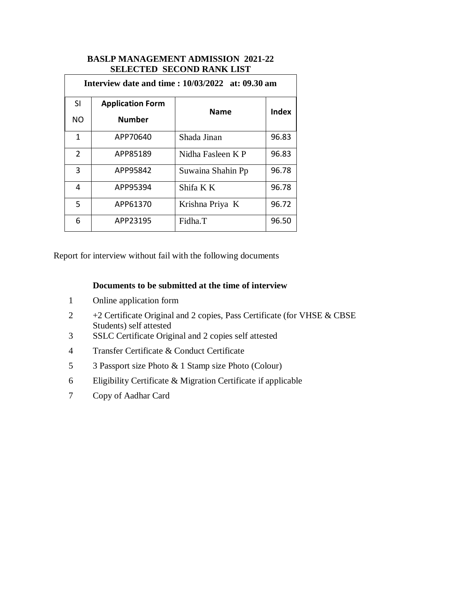## **BASLP MANAGEMENT ADMISSION 2021-22 SELECTED SECOND RANK LIST**

| <b>Interview date and time: 10/03/2022 at: 09.30 am</b> |                         |                   |              |  |
|---------------------------------------------------------|-------------------------|-------------------|--------------|--|
| SI                                                      | <b>Application Form</b> | <b>Name</b>       | <b>Index</b> |  |
| <b>NO</b>                                               | <b>Number</b>           |                   |              |  |
| 1                                                       | APP70640                | Shada Jinan       | 96.83        |  |
| $\overline{2}$                                          | APP85189                | Nidha Fasleen K P | 96.83        |  |
| 3                                                       | APP95842                | Suwaina Shahin Pp | 96.78        |  |
| 4                                                       | APP95394                | Shifa K K         | 96.78        |  |
| 5                                                       | APP61370                | Krishna Priya K   | 96.72        |  |
| 6                                                       | APP23195                | Fidha.T           | 96.50        |  |

Report for interview without fail with the following documents

## **Documents to be submitted at the time of interview**

- 1 Online application form
- 2 +2 Certificate Original and 2 copies, Pass Certificate (for VHSE & CBSE Students) self attested
- 3 SSLC Certificate Original and 2 copies self attested
- 4 Transfer Certificate & Conduct Certificate
- 5 3 Passport size Photo & 1 Stamp size Photo (Colour)
- 6 Eligibility Certificate & Migration Certificate if applicable
- 7 Copy of Aadhar Card